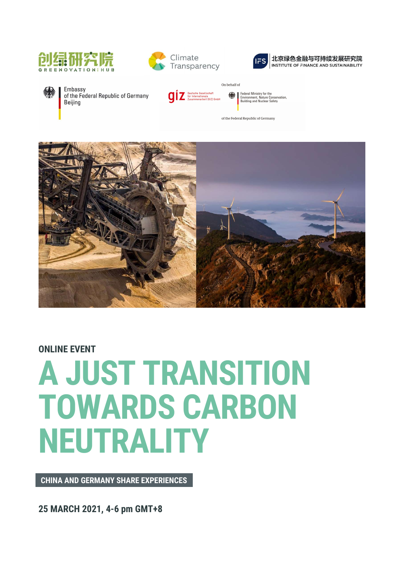





#### 北京绿色金融与可持续发展研究院 INSTITUTE OF FINANCE AND SUSTAINABILITY

Embassy Beijing

of the Federal Republic of Germany

**QI** Z Deutsche Gesellschaft<br>
Z (Gr Internationale<br>
Zusammenarbeit (GIZ) GmbH

Federal Ministry for the<br>Environment, Nature Conservation<br>Building and Nuclear Safety

of the Federal Republic of Germany

On behalf of

※



### ONLINE EVENT

# A JUST TRANSITION TOWARDS CARBON NEUTRALITY

CHINA AND GERMANY SHARE EXPERIENCES

25 MARCH 2021, 4-6 pm GMT+8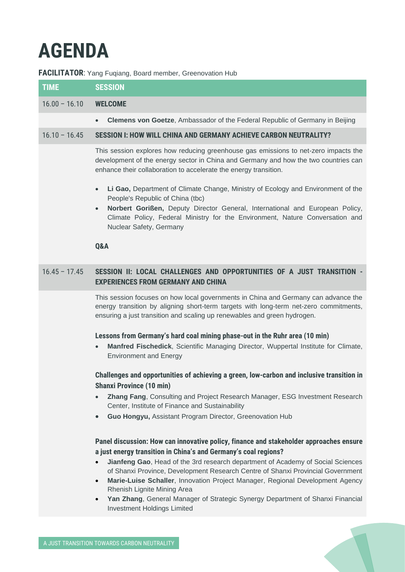## **AGENDA**

#### **FACILITATOR:** Yang Fugiang, Board member, Greenovation Hub

| <b>TIME</b>     | <b>SESSION</b>                                                                                                                                                                                                                                 |
|-----------------|------------------------------------------------------------------------------------------------------------------------------------------------------------------------------------------------------------------------------------------------|
| $16.00 - 16.10$ | <b>WELCOME</b>                                                                                                                                                                                                                                 |
|                 | <b>Clemens von Goetze, Ambassador of the Federal Republic of Germany in Beijing</b><br>$\bullet$                                                                                                                                               |
| $16.10 - 16.45$ | SESSION I: HOW WILL CHINA AND GERMANY ACHIEVE CARBON NEUTRALITY?                                                                                                                                                                               |
|                 | This session explores how reducing greenhouse gas emissions to net-zero impacts the<br>development of the energy sector in China and Germany and how the two countries can<br>enhance their collaboration to accelerate the energy transition. |

- **Li Gao,** Department of Climate Change, Ministry of Ecology and Environment of the People's Republic of China (tbc)
- **Norbert Gorißen,** Deputy Director General, International and European Policy, Climate Policy, Federal Ministry for the Environment, Nature Conversation and Nuclear Safety, Germany

#### **Q&A**

#### 16.45 – 17.45 **SESSION II: LOCAL CHALLENGES AND OPPORTUNITIES OF A JUST TRANSITION - EXPERIENCES FROM GERMANY AND CHINA**

This session focuses on how local governments in China and Germany can advance the energy transition by aligning short-term targets with long-term net-zero commitments, ensuring a just transition and scaling up renewables and green hydrogen.

#### **Lessons from Germany's hard coal mining phase-out in the Ruhr area (10 min)**

• **Manfred Fischedick**, Scientific Managing Director, Wuppertal Institute for Climate, Environment and Energy

**Challenges and opportunities of achieving a green, low-carbon and inclusive transition in Shanxi Province (10 min)**

- **Zhang Fang**, Consulting and Project Research Manager, ESG Investment Research Center, Institute of Finance and Sustainability
- **Guo Hongyu,** Assistant Program Director, Greenovation Hub

#### **Panel discussion: How can innovative policy, finance and stakeholder approaches ensure a just energy transition in China's and Germany's coal regions?**

- **Jianfeng Gao**, Head of the 3rd research department of Academy of Social Sciences of Shanxi Province, Development Research Centre of Shanxi Provincial Government
- **Marie-Luise Schaller**, Innovation Project Manager, Regional Development Agency Rhenish Lignite Mining Area
- **Yan Zhang**, General Manager of Strategic Synergy Department of Shanxi Financial Investment Holdings Limited